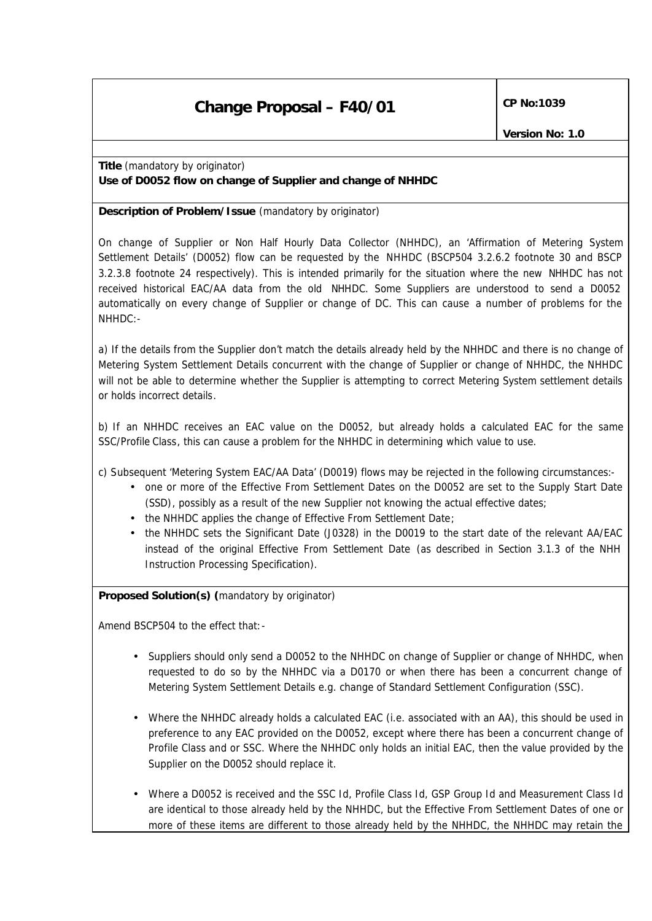# **Change Proposal – F40/01**  $\left[\text{CP No:1039}\right]$

**Title** *(mandatory by originator) Use of D0052 flow on change of Supplier and change of NHHDC*

**Description of Problem/Issue** *(mandatory by originator)*

On change of Supplier or Non Half Hourly Data Collector (NHHDC), an 'Affirmation of Metering System Settlement Details' (D0052) flow can be requested by the NHHDC (BSCP504 3.2.6.2 footnote 30 and BSCP 3.2.3.8 footnote 24 respectively). This is intended primarily for the situation where the new NHHDC has not received historical EAC/AA data from the old NHHDC. Some Suppliers are understood to send a D0052 automatically on every change of Supplier or change of DC. This can cause a number of problems for the  $NHHDC:$ -

a) If the details from the Supplier don't match the details already held by the NHHDC and there is no change of Metering System Settlement Details concurrent with the change of Supplier or change of NHHDC, the NHHDC will not be able to determine whether the Supplier is attempting to correct Metering System settlement details or holds incorrect details.

b) If an NHHDC receives an EAC value on the D0052, but already holds a calculated EAC for the same SSC/Profile Class, this can cause a problem for the NHHDC in determining which value to use.

c) Subsequent 'Metering System EAC/AA Data' (D0019) flows may be rejected in the following circumstances:-

- one or more of the Effective From Settlement Dates on the D0052 are set to the Supply Start Date (SSD), possibly as a result of the new Supplier not knowing the actual effective dates;
- the NHHDC applies the change of Effective From Settlement Date;
- the NHHDC sets the Significant Date (J0328) in the D0019 to the start date of the relevant AA/EAC instead of the original Effective From Settlement Date (as described in Section 3.1.3 of the NHH Instruction Processing Specification).

**Proposed Solution(s)** *(mandatory by originator)*

Amend BSCP504 to the effect that:-

- Suppliers should only send a D0052 to the NHHDC on change of Supplier or change of NHHDC, when requested to do so by the NHHDC via a D0170 or when there has been a concurrent change of Metering System Settlement Details e.g. change of Standard Settlement Configuration (SSC).
- Where the NHHDC already holds a calculated EAC (i.e. associated with an AA), this should be used in preference to any EAC provided on the D0052, except where there has been a concurrent change of Profile Class and or SSC. Where the NHHDC only holds an initial EAC, then the value provided by the Supplier on the D0052 should replace it.
- Where a D0052 is received and the SSC Id, Profile Class Id, GSP Group Id and Measurement Class Id are identical to those already held by the NHHDC, but the Effective From Settlement Dates of one or more of these items are different to those already held by the NHHDC, the NHHDC may retain the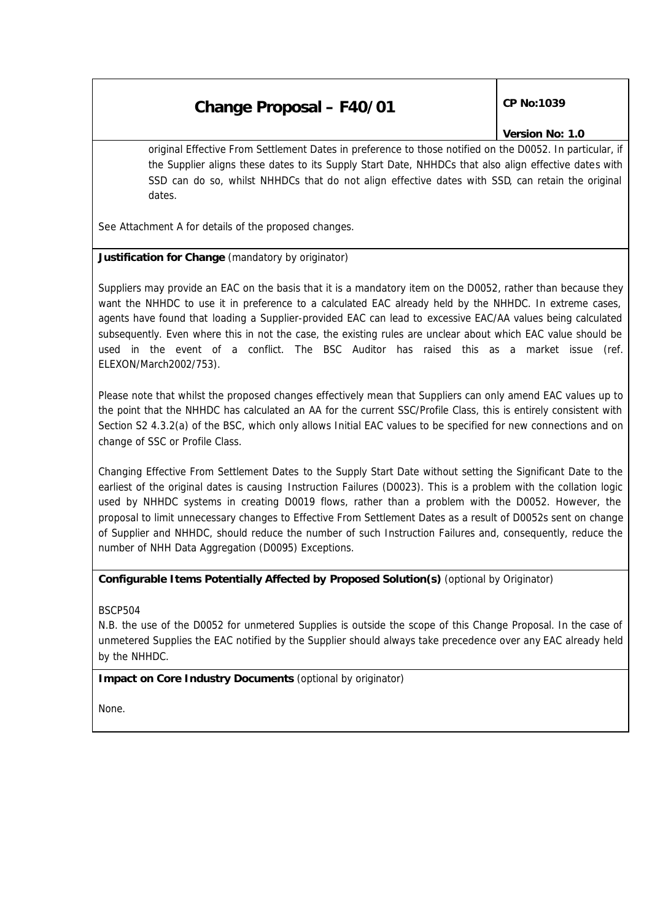## **Change Proposal – F40/01**  $\left[\text{CP No:1039}\right]$

#### *Version No: 1.0*

original Effective From Settlement Dates in preference to those notified on the D0052. In particular, if the Supplier aligns these dates to its Supply Start Date, NHHDCs that also align effective dates with SSD can do so, whilst NHHDCs that do not align effective dates with SSD, can retain the original dates.

See Attachment A for details of the proposed changes.

#### **Justification for Change** *(mandatory by originator)*

Suppliers may provide an EAC on the basis that it is a mandatory item on the D0052, rather than because they want the NHHDC to use it in preference to a calculated EAC already held by the NHHDC. In extreme cases, agents have found that loading a Supplier-provided EAC can lead to excessive EAC/AA values being calculated subsequently. Even where this in not the case, the existing rules are unclear about which EAC value should be used in the event of a conflict. The BSC Auditor has raised this as a market issue (ref. ELEXON/March2002/753).

Please note that whilst the proposed changes effectively mean that Suppliers can only amend EAC values up to the point that the NHHDC has calculated an AA for the current SSC/Profile Class, this is entirely consistent with Section S2 4.3.2(a) of the BSC, which only allows Initial EAC values to be specified for new connections and on change of SSC or Profile Class.

Changing Effective From Settlement Dates to the Supply Start Date without setting the Significant Date to the earliest of the original dates is causing Instruction Failures (D0023). This is a problem with the collation logic used by NHHDC systems in creating D0019 flows, rather than a problem with the D0052. However, the proposal to limit unnecessary changes to Effective From Settlement Dates as a result of D0052s sent on change of Supplier and NHHDC, should reduce the number of such Instruction Failures and, consequently, reduce the number of NHH Data Aggregation (D0095) Exceptions.

### **Configurable Items Potentially Affected by Proposed Solution(s)** *(optional by Originator)*

BSCP504

N.B. the use of the D0052 for unmetered Supplies is outside the scope of this Change Proposal. In the case of unmetered Supplies the EAC notified by the Supplier should always take precedence over any EAC already held by the NHHDC.

**Impact on Core Industry Documents** *(optional by originator)*

None.